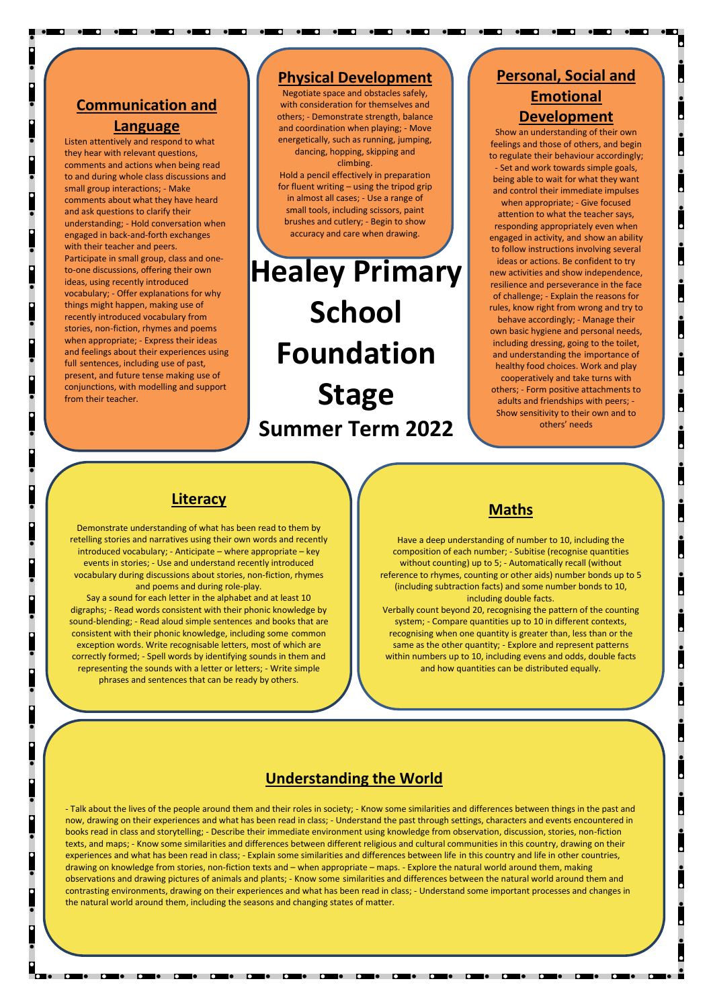## **Communication and**

#### **Language**

Listen attentively and respond to what they hear with relevant questions, comments and actions when being read to and during whole class discussions and small group interactions; - Make comments about what they have heard and ask questions to clarify their understanding; - Hold conversation when engaged in back-and-forth exchanges with their teacher and neers. Participate in small group, class and oneto-one discussions, offering their own ideas, using recently introduced vocabulary; - Offer explanations for why things might happen, making use of recently introduced vocabulary from stories, non-fiction, rhymes and poems when appropriate; - Express their ideas and feelings about their experiences using full sentences, including use of past, present, and future tense making use of conjunctions, with modelling and support from their teacher.

#### **Physical Development**

Negotiate space and obstacles safely, with consideration for themselves and others; - Demonstrate strength, balance and coordination when playing; - Move energetically, such as running, jumping, dancing, hopping, skipping and climbing.

Hold a pencil effectively in preparation for fluent writing – using the tripod grip in almost all cases; - Use a range of small tools, including scissors, paint brushes and cutlery; - Begin to show accuracy and care when drawing.

**Healey Primary School Foundation Stage Summer Term 2022**

## **Personal, Social and Emotional Development**

**TO OFFICE OFFICE** 

Show an understanding of their own feelings and those of others, and begin to regulate their behaviour accordingly; - Set and work towards simple goals, being able to wait for what they want and control their immediate impulses when appropriate; - Give focused attention to what the teacher says, responding appropriately even when engaged in activity, and show an ability to follow instructions involving several ideas or actions. Be confident to try new activities and show independence, resilience and perseverance in the face of challenge; - Explain the reasons for rules, know right from wrong and try to behave accordingly; - Manage their own basic hygiene and personal needs, including dressing, going to the toilet, and understanding the importance of healthy food choices. Work and play cooperatively and take turns with others; - Form positive attachments to adults and friendships with peers; Show sensitivity to their own and to others' needs

### **Literacy**

Demonstrate understanding of what has been read to them by retelling stories and narratives using their own words and recently introduced vocabulary; - Anticipate – where appropriate – key events in stories; - Use and understand recently introduced vocabulary during discussions about stories, non-fiction, rhymes and poems and during role-play.

Say a sound for each letter in the alphabet and at least 10 digraphs; - Read words consistent with their phonic knowledge by sound-blending; - Read aloud simple sentences and books that are consistent with their phonic knowledge, including some common exception words. Write recognisable letters, most of which are correctly formed; - Spell words by identifying sounds in them and representing the sounds with a letter or letters; - Write simple phrases and sentences that can be ready by others.

## **Maths**

Have a deep understanding of number to 10, including the composition of each number; - Subitise (recognise quantities without counting) up to 5; - Automatically recall (without reference to rhymes, counting or other aids) number bonds up to 5 (including subtraction facts) and some number bonds to 10, including double facts.

Verbally count beyond 20, recognising the pattern of the counting system; - Compare quantities up to 10 in different contexts, recognising when one quantity is greater than, less than or the same as the other quantity; - Explore and represent patterns within numbers up to 10, including evens and odds, double facts and how quantities can be distributed equally.

## **Understanding the World**

- Talk about the lives of the people around them and their roles in society; - Know some similarities and differences between things in the past and now, drawing on their experiences and what has been read in class; - Understand the past through settings, characters and events encountered in books read in class and storytelling; - Describe their immediate environment using knowledge from observation, discussion, stories, non-fiction texts, and maps; - Know some similarities and differences between different religious and cultural communities in this country, drawing on their experiences and what has been read in class; - Explain some similarities and differences between life in this country and life in other countries, drawing on knowledge from stories, non-fiction texts and – when appropriate – maps. - Explore the natural world around them, making observations and drawing pictures of animals and plants; - Know some similarities and differences between the natural world around them and contrasting environments, drawing on their experiences and what has been read in class; - Understand some important processes and changes in the natural world around them, including the seasons and changing states of matter.